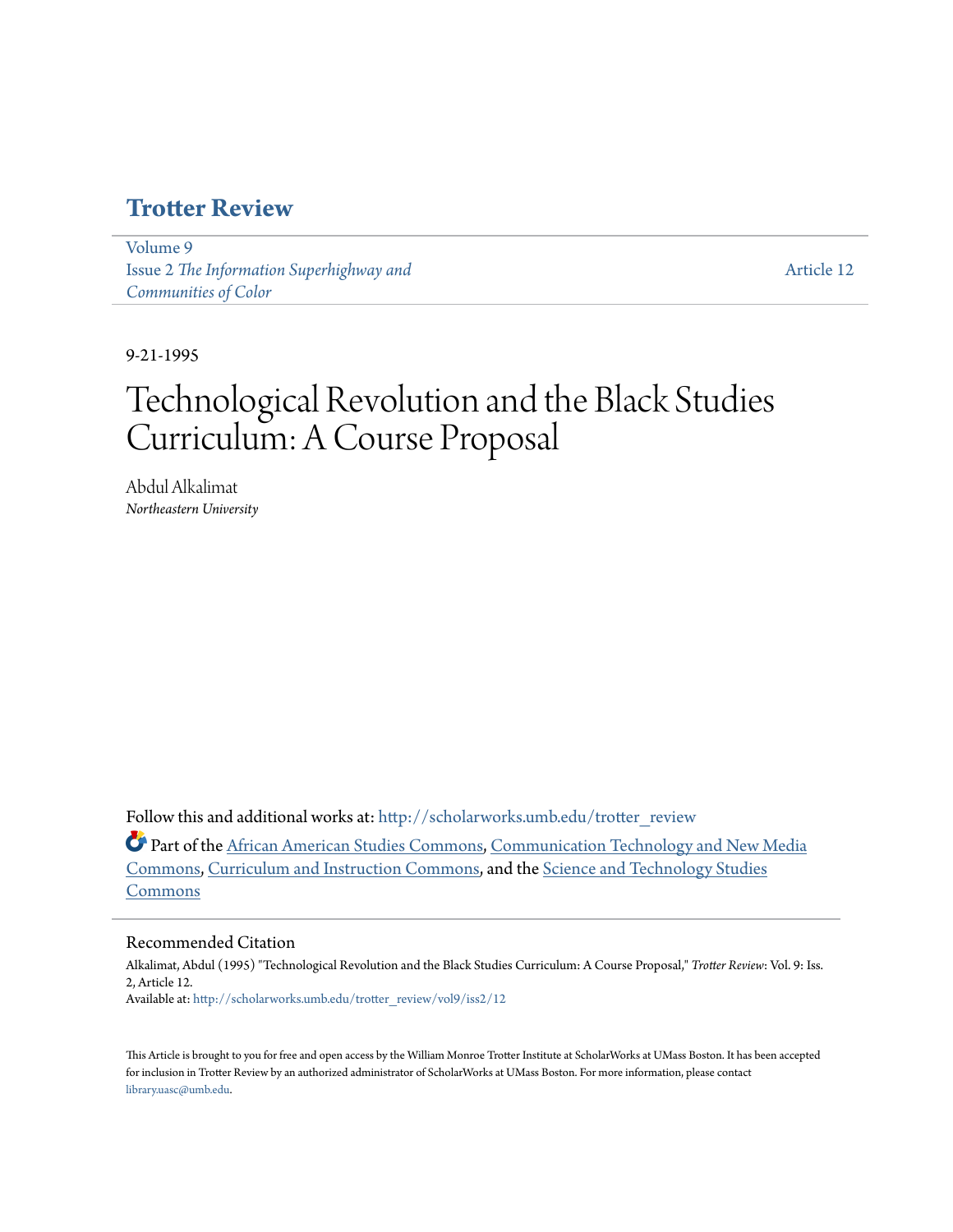### **[Trotter Review](http://scholarworks.umb.edu/trotter_review?utm_source=scholarworks.umb.edu%2Ftrotter_review%2Fvol9%2Fiss2%2F12&utm_medium=PDF&utm_campaign=PDFCoverPages)**

[Volume 9](http://scholarworks.umb.edu/trotter_review/vol9?utm_source=scholarworks.umb.edu%2Ftrotter_review%2Fvol9%2Fiss2%2F12&utm_medium=PDF&utm_campaign=PDFCoverPages) Issue 2 *[The Information Superhighway and](http://scholarworks.umb.edu/trotter_review/vol9/iss2?utm_source=scholarworks.umb.edu%2Ftrotter_review%2Fvol9%2Fiss2%2F12&utm_medium=PDF&utm_campaign=PDFCoverPages) [Communities of Color](http://scholarworks.umb.edu/trotter_review/vol9/iss2?utm_source=scholarworks.umb.edu%2Ftrotter_review%2Fvol9%2Fiss2%2F12&utm_medium=PDF&utm_campaign=PDFCoverPages)*

[Article 12](http://scholarworks.umb.edu/trotter_review/vol9/iss2/12?utm_source=scholarworks.umb.edu%2Ftrotter_review%2Fvol9%2Fiss2%2F12&utm_medium=PDF&utm_campaign=PDFCoverPages)

9-21-1995

## Technological Revolution and the Black Studies Curriculum: A Course Proposal

Abdul Alkalimat *Northeastern University*

Follow this and additional works at: [http://scholarworks.umb.edu/trotter\\_review](http://scholarworks.umb.edu/trotter_review?utm_source=scholarworks.umb.edu%2Ftrotter_review%2Fvol9%2Fiss2%2F12&utm_medium=PDF&utm_campaign=PDFCoverPages)

Part of the [African American Studies Commons,](http://network.bepress.com/hgg/discipline/567?utm_source=scholarworks.umb.edu%2Ftrotter_review%2Fvol9%2Fiss2%2F12&utm_medium=PDF&utm_campaign=PDFCoverPages) [Communication Technology and New Media](http://network.bepress.com/hgg/discipline/327?utm_source=scholarworks.umb.edu%2Ftrotter_review%2Fvol9%2Fiss2%2F12&utm_medium=PDF&utm_campaign=PDFCoverPages) [Commons,](http://network.bepress.com/hgg/discipline/327?utm_source=scholarworks.umb.edu%2Ftrotter_review%2Fvol9%2Fiss2%2F12&utm_medium=PDF&utm_campaign=PDFCoverPages) [Curriculum and Instruction Commons](http://network.bepress.com/hgg/discipline/786?utm_source=scholarworks.umb.edu%2Ftrotter_review%2Fvol9%2Fiss2%2F12&utm_medium=PDF&utm_campaign=PDFCoverPages), and the [Science and Technology Studies](http://network.bepress.com/hgg/discipline/435?utm_source=scholarworks.umb.edu%2Ftrotter_review%2Fvol9%2Fiss2%2F12&utm_medium=PDF&utm_campaign=PDFCoverPages) [Commons](http://network.bepress.com/hgg/discipline/435?utm_source=scholarworks.umb.edu%2Ftrotter_review%2Fvol9%2Fiss2%2F12&utm_medium=PDF&utm_campaign=PDFCoverPages)

### Recommended Citation

Alkalimat, Abdul (1995) "Technological Revolution and the Black Studies Curriculum: A Course Proposal," *Trotter Review*: Vol. 9: Iss. 2, Article 12. Available at: [http://scholarworks.umb.edu/trotter\\_review/vol9/iss2/12](http://scholarworks.umb.edu/trotter_review/vol9/iss2/12?utm_source=scholarworks.umb.edu%2Ftrotter_review%2Fvol9%2Fiss2%2F12&utm_medium=PDF&utm_campaign=PDFCoverPages)

This Article is brought to you for free and open access by the William Monroe Trotter Institute at ScholarWorks at UMass Boston. It has been accepted for inclusion in Trotter Review by an authorized administrator of ScholarWorks at UMass Boston. For more information, please contact [library.uasc@umb.edu.](mailto:library.uasc@umb.edu)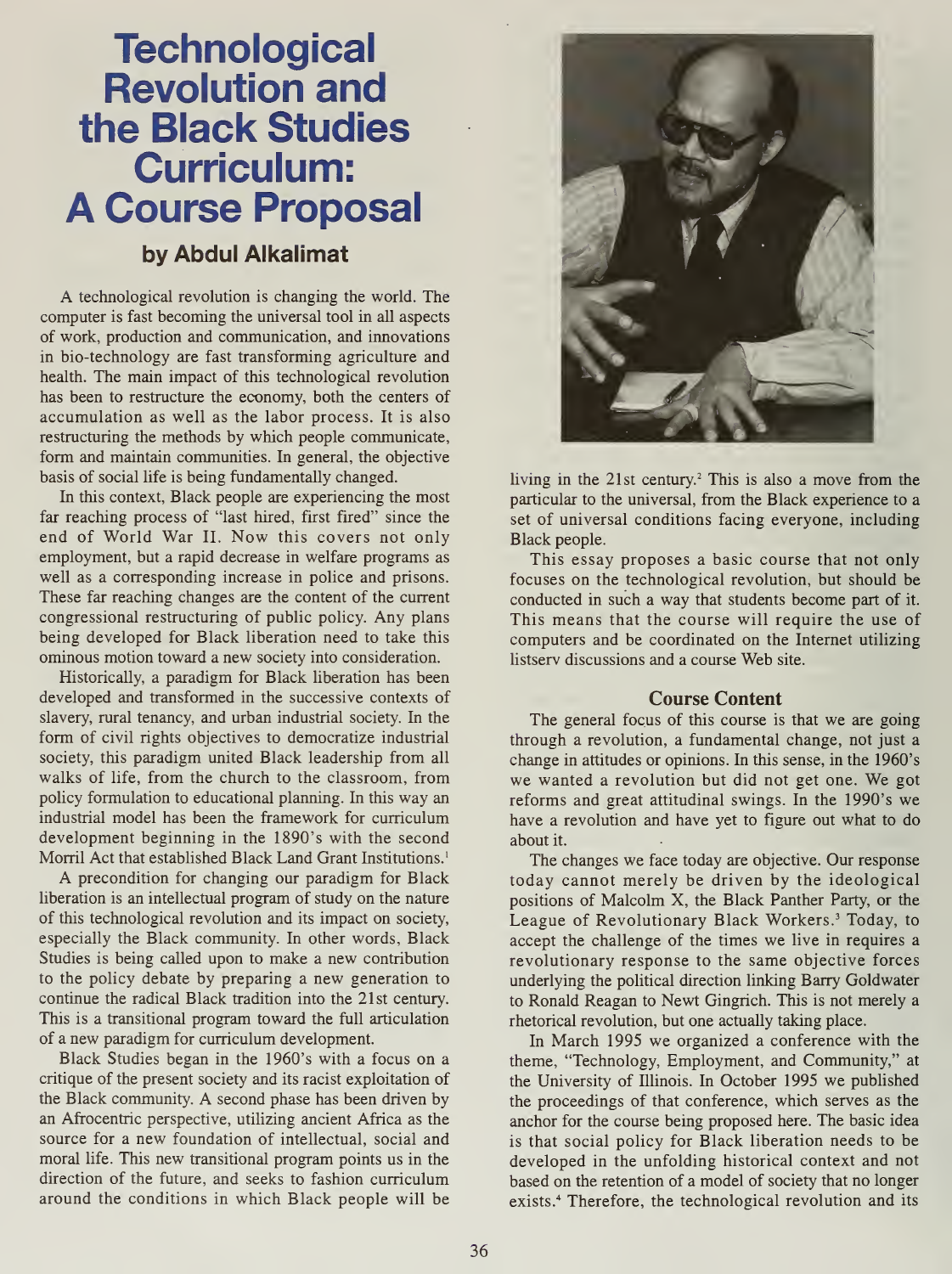# **Technological** Revolution and the Black Studies Curriculum: A Course Proposal

### by Abdul Alkalimat

A technological revolution is changing the world. The computer is fast becoming the universal tool in all aspects of work, production and communication, and innovations in bio-technology are fast transforming agriculture and health. The main impact of this technological revolution has been to restructure the economy, both the centers of accumulation as well as the labor process. It is also restructuring the methods by which people communicate, form and maintain communities. In general, the objective basis of social life is being fundamentally changed.

In this context, Black people are experiencing the most far reaching process of "last hired, first fired" since the end of World War II. Now this covers not only employment, but a rapid decrease in welfare programs as well as a corresponding increase in police and prisons. These far reaching changes are the content of the current congressional restructuring of public policy. Any plans being developed for Black liberation need to take this ominous motion toward a new society into consideration.

Historically, a paradigm for Black liberation has been developed and transformed in the successive contexts of slavery, rural tenancy, and urban industrial society. In the form of civil rights objectives to democratize industrial society, this paradigm united Black leadership from all walks of life, from the church to the classroom, from policy formulation to educational planning. In this way an industrial model has been the framework for curriculum development beginning in the 1890's with the second Morril Act that established Black Land Grant Institutions.<sup>1</sup>

A precondition for changing our paradigm for Black liberation is an intellectual program of study on the nature of this technological revolution and its impact on society, especially the Black community. In other words, Black Studies is being called upon to make a new contribution to the policy debate by preparing a new generation to continue the radical Black tradition into the 21st century. This is a transitional program toward the full articulation of a new paradigm for curriculum development.

Black Studies began in the 1960's with a focus on a critique of the present society and its racist exploitation of the Black community. A second phase has been driven by an Afrocentric perspective, utilizing ancient Africa as the source for a new foundation of intellectual, social and moral life. This new transitional program points us in the direction of the future, and seeks to fashion curriculum around the conditions in which Black people will be



living in the 21st century.<sup>2</sup> This is also a move from the particular to the universal, from the Black experience to a set of universal conditions facing everyone, including Black people.

This essay proposes a basic course that not only focuses on the technological revolution, but should be conducted in such a way that students become part of it. This means that the course will require the use of computers and be coordinated on the Internet utilizing listserv discussions and <sup>a</sup> course Web site.

### Course Content

The general focus of this course is that we are going through a revolution, a fundamental change, not just a change in attitudes or opinions. In this sense, in the 1960's we wanted <sup>a</sup> revolution but did not get one. We got reforms and great attitudinal swings. In the 1990's we have a revolution and have yet to figure out what to do about it.

The changes we face today are objective. Our response today cannot merely be driven by the ideological positions of Malcolm X, the Black Panther Party, or the League of Revolutionary Black Workers.<sup>3</sup> Today, to accept the challenge of the times we live in requires a revolutionary response to the same objective forces underlying the political direction linking Barry Goldwater to Ronald Reagan to Newt Gingrich. This is not merely a rhetorical revolution, but one actually taking place.

In March 1995 we organized a conference with the theme, "Technology, Employment, and Community," at the University of Illinois. In October 1995 we published the proceedings of that conference, which serves as the anchor for the course being proposed here. The basic idea is that social policy for Black liberation needs to be developed in the unfolding historical context and not based on the retention of a model of society that no longer exists.<sup>4</sup> Therefore, the technological revolution and its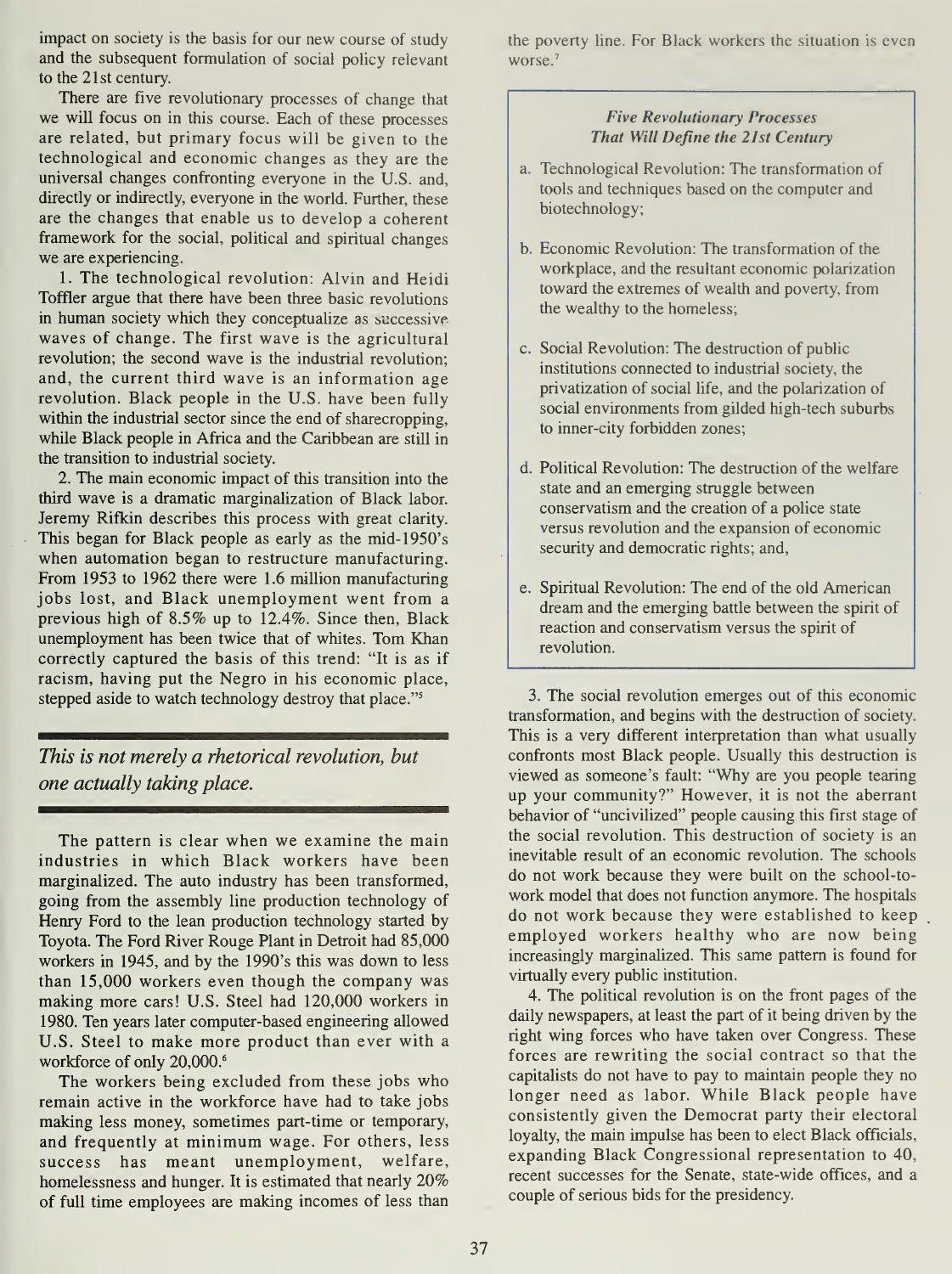impact on society is the basis for our new course of study and the subsequent formulation of social policy relevant to the 21st century.

There are five revolutionary processes of change that we will focus on in this course. Each of these processes are related, but primary focus will be given to the technological and economic changes as they are the universal changes confronting everyone in the U.S. and, directly or indirectly, everyone in the world. Further, these are the changes that enable us to develop a coherent framework for the social, political and spiritual changes we are experiencing.

1. The technological revolution: Alvin and Heidi Toffler argue that there have been three basic revolutions in human society which they conceptualize as successive waves of change. The first wave is the agricultural revolution; the second wave is the industrial revolution; and, the current third wave is an information age revolution. Black people in the U.S. have been fully within the industrial sector since the end of sharecropping, while Black people in Africa and the Caribbean are still in the transition to industrial society.

2. The main economic impact of this transition into the third wave is a dramatic marginalization of Black labor. Jeremy Rifkin describes this process with great clarity. This began for Black people as early as the mid-1950's when automation began to restructure manufacturing. From 1953 to 1962 there were 1.6 million manufacturing jobs lost, and Black unemployment went from a previous high of 8.5% up to 12.4%. Since then, Black unemployment has been twice that of whites. Tom Khan correctly captured the basis of this trend: "It is as if racism, having put the Negro in his economic place, stepped aside to watch technology destroy that place."<sup>5</sup>

This is not merely a rhetorical revolution, but one actually taking place.

The pattern is clear when we examine the main industries in which Black workers have been marginalized. The auto industry has been transformed, going from the assembly line production technology of Henry Ford to the lean production technology started by Toyota. The Ford River Rouge Plant in Detroit had 85,000 workers in 1945, and by the 1990's this was down to less than 15,000 workers even though the company was making more cars! U.S. Steel had 120,000 workers in 1980. Ten years later computer-based engineering allowed U.S. Steel to make more product than ever with a workforce of only 20,000.<sup>6</sup>

The workers being excluded from these jobs who remain active in the workforce have had to take jobs making less money, sometimes part-time or temporary, and frequently at minimum wage. For others, less success has meant unemployment, welfare, homelessness and hunger. It is estimated that nearly 20% of full time employees are making incomes of less than the poverty line. For Black workers the situation is even worse.<sup>7</sup>

### Five Revolutionary Processes That Will Define the 21st Century

- a. Technological Revolution: The transformation of tools and techniques based on the computer and biotechnology;
- b. Economic Revolution: The transformation of the workplace, and the resultant economic polarization toward the extremes of wealth and poverty, from the wealthy to the homeless;
- c. Social Revolution: The destruction of public institutions connected to industrial society, the privatization of social life, and the polarization of social environments from gilded high-tech suburbs to inner-city forbidden zones;
- d. Political Revolution: The destruction of the welfare state and an emerging struggle between conservatism and the creation of a police state versus revolution and the expansion of economic security and democratic rights; and,
- e. Spiritual Revolution: The end of the old American dream and the emerging battle between the spirit of reaction and conservatism versus the spirit of revolution.

3. The social revolution emerges out of this economic transformation, and begins with the destruction of society. This is a very different interpretation than what usually confronts most Black people. Usually this destruction is viewed as someone's fault: "Why are you people tearing up your community?" However, it is not the aberrant behavior of "uncivilized" people causing this first stage of the social revolution. This destruction of society is an inevitable result of an economic revolution. The schools do not work because they were built on the school-towork model that does not function anymore. The hospitals do not work because they were established to keep employed workers healthy who are now being increasingly marginalized. This same pattern is found for virtually every public institution.

4. The political revolution is on the front pages of the daily newspapers, at least the part of it being driven by the right wing forces who have taken over Congress. These forces are rewriting the social contract so that the capitalists do not have to pay to maintain people they no longer need as labor. While Black people have consistently given the Democrat party their electoral loyalty, the main impulse has been to elect Black officials, expanding Black Congressional representation to 40, recent successes for the Senate, state-wide offices, and a couple of serious bids for the presidency.